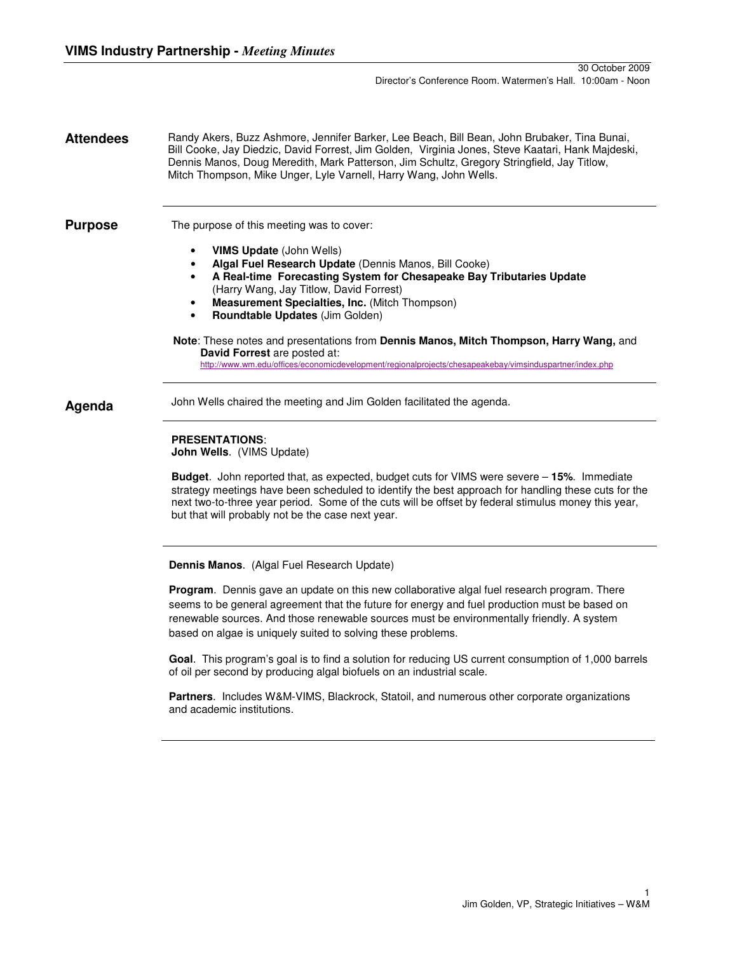**Attendees** Randy Akers, Buzz Ashmore, Jennifer Barker, Lee Beach, Bill Bean, John Brubaker, Tina Bunai, Bill Cooke, Jay Diedzic, David Forrest, Jim Golden, Virginia Jones, Steve Kaatari, Hank Majdeski, Dennis Manos, Doug Meredith, Mark Patterson, Jim Schultz, Gregory Stringfield, Jay Titlow, Mitch Thompson, Mike Unger, Lyle Varnell, Harry Wang, John Wells.

**Purpose** The purpose of this meeting was to cover:

- **VIMS Update** (John Wells)
- **Algal Fuel Research Update** (Dennis Manos, Bill Cooke)
- **A Real-time Forecasting System for Chesapeake Bay Tributaries Update**  (Harry Wang, Jay Titlow, David Forrest)
- **Measurement Specialties, Inc.** (Mitch Thompson)
- **Roundtable Updates** (Jim Golden)

#### **Note**: These notes and presentations from **Dennis Manos, Mitch Thompson, Harry Wang,** and **David Forrest** are posted at: http://www.wm.edu/offices/economicdevelopment/regionalprojects/chesapeakebay/vimsinduspartner/index.php

Agenda John Wells chaired the meeting and Jim Golden facilitated the agenda.

# **PRESENTATIONS**:

**John Wells**. (VIMS Update)

**Budget**. John reported that, as expected, budget cuts for VIMS were severe – **15%**. Immediate strategy meetings have been scheduled to identify the best approach for handling these cuts for the next two-to-three year period. Some of the cuts will be offset by federal stimulus money this year, but that will probably not be the case next year.

**Dennis Manos**. (Algal Fuel Research Update)

**Program**. Dennis gave an update on this new collaborative algal fuel research program. There seems to be general agreement that the future for energy and fuel production must be based on renewable sources. And those renewable sources must be environmentally friendly. A system based on algae is uniquely suited to solving these problems.

**Goal**. This program's goal is to find a solution for reducing US current consumption of 1,000 barrels of oil per second by producing algal biofuels on an industrial scale.

**Partners**. Includes W&M-VIMS, Blackrock, Statoil, and numerous other corporate organizations and academic institutions.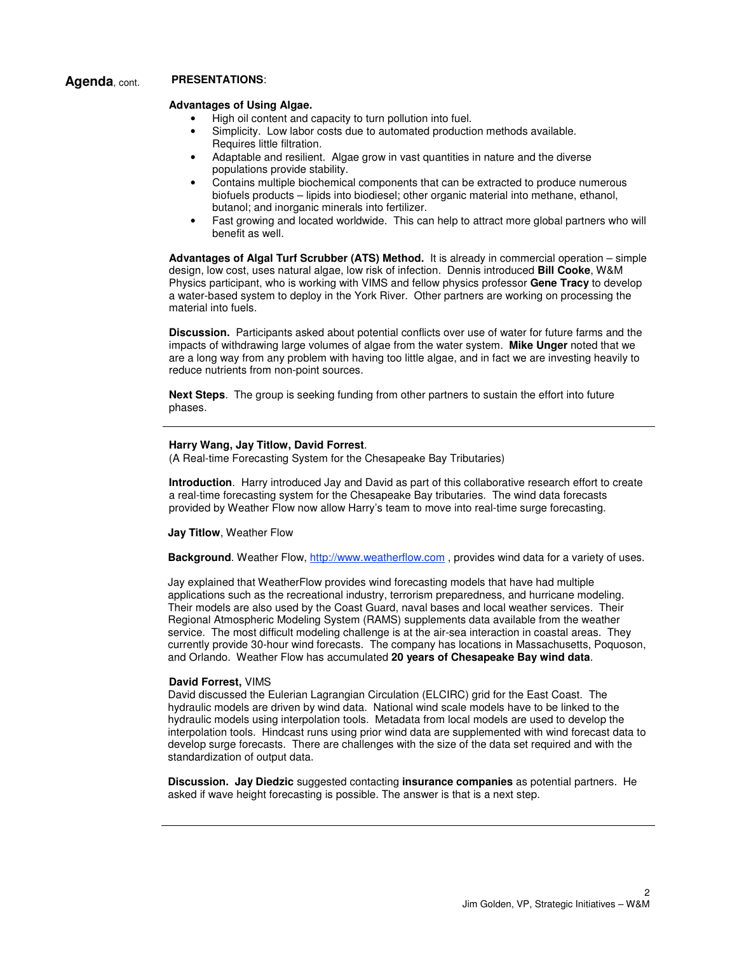# **Agenda**, cont. **PRESENTATIONS**:

## **Advantages of Using Algae.**

- High oil content and capacity to turn pollution into fuel.
- Simplicity. Low labor costs due to automated production methods available. Requires little filtration.
- Adaptable and resilient. Algae grow in vast quantities in nature and the diverse populations provide stability.
- Contains multiple biochemical components that can be extracted to produce numerous biofuels products – lipids into biodiesel; other organic material into methane, ethanol, butanol; and inorganic minerals into fertilizer.
- Fast growing and located worldwide. This can help to attract more global partners who will benefit as well.

**Advantages of Algal Turf Scrubber (ATS) Method.** It is already in commercial operation – simple design, low cost, uses natural algae, low risk of infection. Dennis introduced **Bill Cooke**, W&M Physics participant, who is working with VIMS and fellow physics professor **Gene Tracy** to develop a water-based system to deploy in the York River. Other partners are working on processing the material into fuels.

**Discussion.** Participants asked about potential conflicts over use of water for future farms and the impacts of withdrawing large volumes of algae from the water system. **Mike Unger** noted that we are a long way from any problem with having too little algae, and in fact we are investing heavily to reduce nutrients from non-point sources.

**Next Steps**. The group is seeking funding from other partners to sustain the effort into future phases.

## **Harry Wang, Jay Titlow, David Forrest**.

(A Real-time Forecasting System for the Chesapeake Bay Tributaries)

**Introduction**. Harry introduced Jay and David as part of this collaborative research effort to create a real-time forecasting system for the Chesapeake Bay tributaries. The wind data forecasts provided by Weather Flow now allow Harry's team to move into real-time surge forecasting.

### **Jay Titlow**, Weather Flow

**Background**. Weather Flow, http://www.weatherflow.com , provides wind data for a variety of uses.

Jay explained that WeatherFlow provides wind forecasting models that have had multiple applications such as the recreational industry, terrorism preparedness, and hurricane modeling. Their models are also used by the Coast Guard, naval bases and local weather services. Their Regional Atmospheric Modeling System (RAMS) supplements data available from the weather service. The most difficult modeling challenge is at the air-sea interaction in coastal areas. They currently provide 30-hour wind forecasts. The company has locations in Massachusetts, Poquoson, and Orlando. Weather Flow has accumulated **20 years of Chesapeake Bay wind data**.

### **David Forrest,** VIMS

David discussed the Eulerian Lagrangian Circulation (ELCIRC) grid for the East Coast. The hydraulic models are driven by wind data. National wind scale models have to be linked to the hydraulic models using interpolation tools. Metadata from local models are used to develop the interpolation tools. Hindcast runs using prior wind data are supplemented with wind forecast data to develop surge forecasts. There are challenges with the size of the data set required and with the standardization of output data.

**Discussion. Jay Diedzic** suggested contacting **insurance companies** as potential partners. He asked if wave height forecasting is possible. The answer is that is a next step.